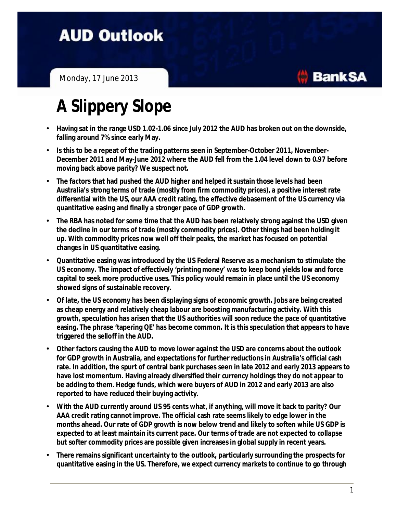## **AUD Outlook**

Monday, 17 June 2013

## **A Slippery Slope**

- **Having sat in the range USD 1.02-1.06 since July 2012 the AUD has broken out on the downside, falling around 7% since early May.**
- **Is this to be a repeat of the trading patterns seen in September-October 2011, November-December 2011 and May-June 2012 where the AUD fell from the 1.04 level down to 0.97 before moving back above parity? We suspect not.**
- **The factors that had pushed the AUD higher and helped it sustain those levels had been Australia's strong terms of trade (mostly from firm commodity prices), a positive interest rate differential with the US, our AAA credit rating, the effective debasement of the US currency via quantitative easing and finally a stronger pace of GDP growth.**
- **The RBA has noted for some time that the AUD has been relatively strong against the USD given the decline in our terms of trade (mostly commodity prices). Other things had been holding it up. With commodity prices now well off their peaks, the market has focused on potential changes in US quantitative easing.**
- **Quantitative easing was introduced by the US Federal Reserve as a mechanism to stimulate the US economy. The impact of effectively 'printing money' was to keep bond yields low and force capital to seek more productive uses. This policy would remain in place until the US economy showed signs of sustainable recovery.**
- **Of late, the US economy has been displaying signs of economic growth. Jobs are being created as cheap energy and relatively cheap labour are boosting manufacturing activity. With this growth, speculation has arisen that the US authorities will soon reduce the pace of quantitative easing. The phrase 'tapering QE' has become common. It is this speculation that appears to have triggered the selloff in the AUD.**
- **Other factors causing the AUD to move lower against the USD are concerns about the outlook for GDP growth in Australia, and expectations for further reductionsin Australia's official cash rate. In addition, the spurt of central bank purchases seen in late 2012 and early 2013 appears to have lost momentum. Having already diversified their currency holdings they do not appear to be adding to them. Hedge funds, which were buyers of AUD in 2012 and early 2013 are also reported to have reduced their buying activity.**
- **With the AUD currently around US 95 cents what, if anything, will move it back to parity? Our AAA credit rating cannot improve. The official cash rate seems likely to edge lower in the months ahead. Our rate of GDP growth is now below trend and likely to soften while US GDP is expected to at least maintain its current pace. Our terms of trade are not expected to collapse but softer commodity prices are possible given increasesin global supply in recent years.**
- **There remains significant uncertainty to the outlook, particularly surrounding the prospects for quantitative easing in the US. Therefore, we expect currency markets to continue to go through**

**BankSA**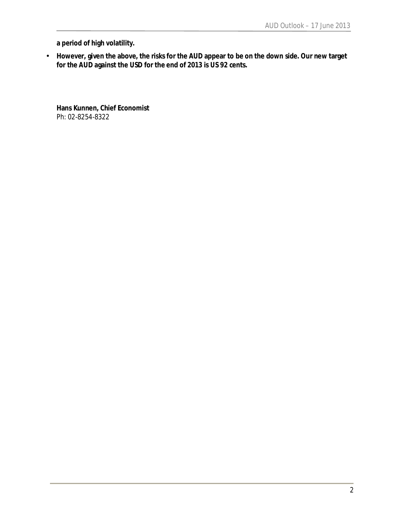**a period of high volatility.** 

• **However, given the above, the risks for the AUD appear to be on the down side. Our new target for the AUD against the USD for the end of 2013 is US 92 cents.** 

**Hans Kunnen, Chief Economist** Ph: 02-8254-8322